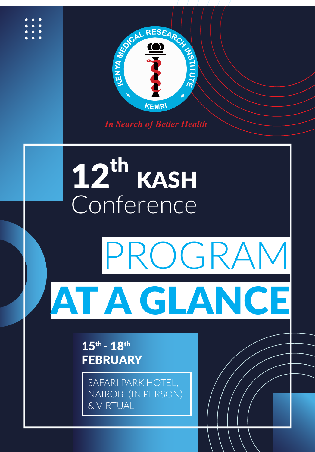

*In Search of Better Health*

## Conte 12<sup>th</sup> KASH Conference

## PROGRAM GLACIER COMPANY **PROGRAM** PROGRAM AT A GLANCE

*Disseminating Health Research* 3

15th - 18th **FEBRUARY** 

SAFARI PARK HOTEL, NAIROBI (IN PERSON) & VIRTUAL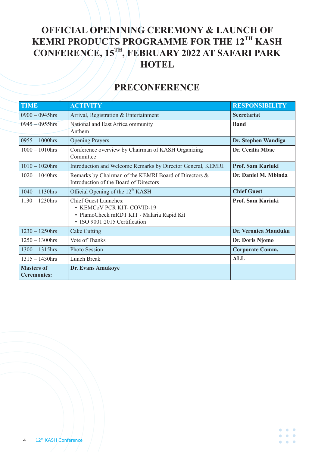## **OFFICIAL OPENINING CEREMONY & LAUNCH OF KEMRI PRODUCTS PROGRAMME FOR THE 12TH KASH CONFERENCE, 15TH, FEBRUARY 2022 AT SAFARI PARK HOTEL**

## **PRECONFERENCE**

| <b>TIME</b>                             | <b>ACTIVITY</b>                                                                                                                         | <b>RESPONSIBILITY</b>    |
|-----------------------------------------|-----------------------------------------------------------------------------------------------------------------------------------------|--------------------------|
| $0900 - 0945$ hrs                       | Arrival, Registration & Entertainment                                                                                                   | <b>Secretariat</b>       |
| $0945 - 0955$ hrs                       | National and East Africa ommunity<br>Anthem                                                                                             | <b>Band</b>              |
| $0955 - 1000$ hrs                       | <b>Opening Prayers</b>                                                                                                                  | Dr. Stephen Wandiga      |
| $1000 - 1010$ hrs                       | Conference overview by Chairman of KASH Organizing<br>Committee                                                                         | Dr. Cecilia Mbae         |
| $1010 - 1020$ hrs                       | Introduction and Welcome Remarks by Director General, KEMRI                                                                             | Prof. Sam Kariuki        |
| $1020 - 1040$ hrs                       | Remarks by Chairman of the KEMRI Board of Directors &<br>Introduction of the Board of Directors                                         | Dr. Daniel M. Mbinda     |
| $1040 - 1130$ hrs                       | Official Opening of the 12 <sup>th</sup> KASH                                                                                           | <b>Chief Guest</b>       |
| $1130 - 1230$ hrs                       | <b>Chief Guest Launches:</b><br>• KEMCOV PCR KIT-COVID-19<br>· PlamoCheck mRDT KIT - Malaria Rapid Kit<br>· ISO 9001:2015 Certification | <b>Prof. Sam Kariuki</b> |
| $1230 - 1250$ hrs                       | <b>Cake Cutting</b>                                                                                                                     | Dr. Veronica Manduku     |
| $1250 - 1300$ hrs                       | Vote of Thanks                                                                                                                          | Dr. Doris Njomo          |
| $1300 - 1315$ hrs                       | <b>Photo Session</b>                                                                                                                    | <b>Corporate Comm.</b>   |
| $1315 - 1430$ hrs                       | <b>Lunch Break</b>                                                                                                                      | <b>ALL</b>               |
| <b>Masters of</b><br><b>Ceremonies:</b> | Dr. Evans Amukoye                                                                                                                       |                          |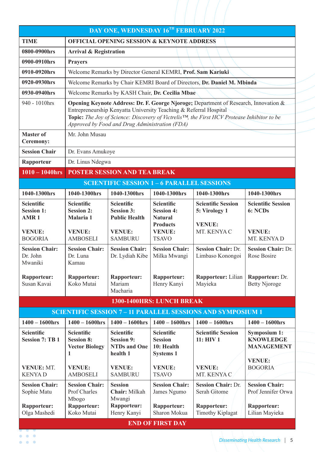| DAY ONE, WEDNESDAY 16TH FEBRUARY 2022                                                                     |                                                                      |                                                                           |                                                                       |                                                                                                                                                                                                  |                                                                               |
|-----------------------------------------------------------------------------------------------------------|----------------------------------------------------------------------|---------------------------------------------------------------------------|-----------------------------------------------------------------------|--------------------------------------------------------------------------------------------------------------------------------------------------------------------------------------------------|-------------------------------------------------------------------------------|
| <b>TIME</b>                                                                                               | <b>OFFICIAL OPENING SESSION &amp; KEYNOTE ADDRESS</b>                |                                                                           |                                                                       |                                                                                                                                                                                                  |                                                                               |
| 0800-0900hrs                                                                                              |                                                                      | <b>Arrival &amp; Registration</b>                                         |                                                                       |                                                                                                                                                                                                  |                                                                               |
| 0900-0910hrs                                                                                              | <b>Prayers</b>                                                       |                                                                           |                                                                       |                                                                                                                                                                                                  |                                                                               |
| 0910-0920hrs                                                                                              |                                                                      |                                                                           | Welcome Remarks by Director General KEMRI, Prof. Sam Kariuki          |                                                                                                                                                                                                  |                                                                               |
| 0920-0930hrs                                                                                              |                                                                      |                                                                           |                                                                       | Welcome Remarks by Chair KEMRI Board of Directors, Dr. Daniel M. Mbinda                                                                                                                          |                                                                               |
| 0930-0940hrs                                                                                              |                                                                      |                                                                           | Welcome Remarks by KASH Chair, Dr. Cecilia Mbae                       |                                                                                                                                                                                                  |                                                                               |
| 940 - 1010hrs                                                                                             |                                                                      | Approved by Food and Drug Administration (FDA)                            | Entrepreneurship Kenyatta University Teaching & Referral Hospital     | Opening Keynote Address: Dr. F. George Njoroge; Department of Research, Innovation &<br>Topic: The Joy of Science: Discovery of Victrelis <sup>TM</sup> , the First HCV Protease Inhibitor to be |                                                                               |
| <b>Master of</b><br><b>Ceremony:</b>                                                                      | Mr. John Musau                                                       |                                                                           |                                                                       |                                                                                                                                                                                                  |                                                                               |
| <b>Session Chair</b>                                                                                      | Dr. Evans Amukoye                                                    |                                                                           |                                                                       |                                                                                                                                                                                                  |                                                                               |
| Rapporteur                                                                                                | Dr. Linus Ndegwa                                                     |                                                                           |                                                                       |                                                                                                                                                                                                  |                                                                               |
| $1010 - 1040$ hrs                                                                                         |                                                                      | <b>POSTER SESSION AND TEA BREAK</b>                                       |                                                                       |                                                                                                                                                                                                  |                                                                               |
|                                                                                                           |                                                                      |                                                                           | <b>SCIENTIFIC SESSION 1-6 PARALLEL SESSIONS</b>                       |                                                                                                                                                                                                  |                                                                               |
| 1040-1300hrs                                                                                              | 1040-1300hrs                                                         | 1040-1300hrs                                                              | 1040-1300hrs                                                          | 1040-1300hrs                                                                                                                                                                                     | 1040-1300hrs                                                                  |
| <b>Scientific</b><br><b>Session 1:</b><br>AMR <sub>1</sub>                                                | <b>Scientific</b><br><b>Session 2:</b><br>Malaria 1                  | <b>Scientific</b><br><b>Session 3:</b><br><b>Public Health</b>            | <b>Scientific</b><br><b>Session 4:</b><br><b>Natural</b>              | <b>Scientific Session</b><br>5: Virology 1                                                                                                                                                       | <b>Scientific Session</b><br>6: NCDs                                          |
| <b>VENUE:</b><br><b>BOGORIA</b>                                                                           | <b>VENUE:</b><br><b>AMBOSELI</b>                                     | <b>VENUE:</b><br><b>SAMBURU</b>                                           | <b>Products</b><br><b>VENUE:</b><br><b>TSAVO</b>                      | <b>VENUE:</b><br>MT. KENYA C                                                                                                                                                                     | <b>VENUE:</b><br>MT. KENYA D                                                  |
| <b>Session Chair:</b><br>Dr. John<br>Mwaniki                                                              | <b>Session Chair:</b><br>Dr. Luna<br>Kamau                           | <b>Session Chair:</b><br>Dr. Lydiah Kibe                                  | <b>Session Chair:</b><br>Milka Mwangi                                 | <b>Session Chair: Dr.</b><br>Limbaso Konongoi                                                                                                                                                    | <b>Session Chair: Dr.</b><br>Rose Bosire                                      |
| <b>Rapporteur:</b><br>Susan Kavai                                                                         | <b>Rapporteur:</b><br>Koko Mutai                                     | <b>Rapporteur:</b><br>Mariam<br>Macharia                                  | <b>Rapporteur:</b><br>Henry Kanyi                                     | Rapporteur: Lilian<br>Mayieka                                                                                                                                                                    | Rapporteur: Dr.<br><b>Betty Njoroge</b>                                       |
|                                                                                                           |                                                                      |                                                                           | 1300-1400HRS: LUNCH BREAK                                             |                                                                                                                                                                                                  |                                                                               |
|                                                                                                           |                                                                      |                                                                           |                                                                       | <b>SCIENTIFIC SESSION 7-11 PARALLEL SESSIONS AND SYMPOSIUM 1</b>                                                                                                                                 |                                                                               |
| $1400 - 1600$ hrs                                                                                         | $1400 - 1600$ hrs                                                    | $1400 - 1600$ hrs                                                         | $1400 - 1600$ hrs                                                     | $1400 - 1600$ hrs                                                                                                                                                                                | $1400 - 1600$ hrs                                                             |
| <b>Scientific</b><br><b>Session 7: TB1</b>                                                                | <b>Scientific</b><br><b>Session 8:</b><br><b>Vector Biology</b><br>1 | <b>Scientific</b><br><b>Session 9:</b><br><b>NTDs and One</b><br>health 1 | <b>Scientific</b><br><b>Session</b><br>10: Health<br><b>Systems 1</b> | <b>Scientific Session</b><br>11: HIV 1                                                                                                                                                           | <b>Symposium 1:</b><br><b>KNOWLEDGE</b><br><b>MANAGEMENT</b><br><b>VENUE:</b> |
| <b>VENUE: MT.</b><br><b>KENYAD</b>                                                                        | <b>VENUE:</b><br><b>AMBOSELI</b>                                     | <b>VENUE:</b><br><b>SAMBURU</b>                                           | <b>VENUE:</b><br><b>TSAVO</b>                                         | <b>VENUE:</b><br>MT. KENYA C                                                                                                                                                                     | <b>BOGORIA</b>                                                                |
| <b>Session Chair:</b><br>Sophie Matu                                                                      | <b>Session Chair:</b><br>Prof Charles<br>Mbogo                       | <b>Session</b><br>Chair: Milkah<br>Mwangi                                 | <b>Session Chair:</b><br>James Ngumo                                  | <b>Session Chair: Dr.</b><br>Serah Gitome                                                                                                                                                        | <b>Session Chair:</b><br>Prof Jennifer Orwa                                   |
| <b>Rapporteur:</b><br>Olga Mashedi                                                                        | Rapporteur:<br>Koko Mutai                                            | <b>Rapporteur:</b><br>Henry Kanyi                                         | <b>Rapporteur:</b><br>Sharon Mokua                                    | Rapporteur:<br><b>Timothy Kiplagat</b>                                                                                                                                                           | <b>Rapporteur:</b><br>Lilian Mayieka                                          |
| <b>END OF FIRST DAY</b><br>$\overline{\phantom{a}}$ , $\overline{\phantom{a}}$ , $\overline{\phantom{a}}$ |                                                                      |                                                                           |                                                                       |                                                                                                                                                                                                  |                                                                               |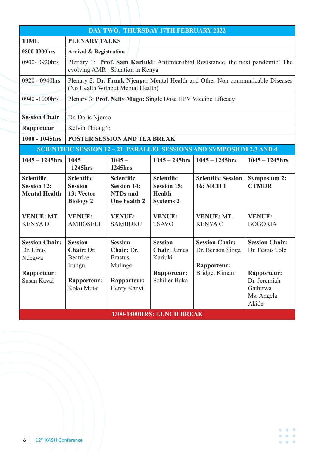| DAY TWO, THURSDAY 17TH FEBRUARY 2022                                              |                                                                                        |                                                                                         |                                                                                         |                                                                                   |                                                                                                                   |
|-----------------------------------------------------------------------------------|----------------------------------------------------------------------------------------|-----------------------------------------------------------------------------------------|-----------------------------------------------------------------------------------------|-----------------------------------------------------------------------------------|-------------------------------------------------------------------------------------------------------------------|
| <b>TIME</b>                                                                       | <b>PLENARY TALKS</b>                                                                   |                                                                                         |                                                                                         |                                                                                   |                                                                                                                   |
| 0800-0900hrs                                                                      |                                                                                        | <b>Arrival &amp; Registration</b>                                                       |                                                                                         |                                                                                   |                                                                                                                   |
| 0900-0920hrs                                                                      |                                                                                        | evolving AMR Situation in Kenya                                                         |                                                                                         | Plenary 1: Prof. Sam Kariuki: Antimicrobial Resistance, the next pandemic! The    |                                                                                                                   |
| 0920 - 0940hrs                                                                    |                                                                                        | (No Health Without Mental Health)                                                       |                                                                                         | Plenary 2: Dr. Frank Njenga: Mental Health and Other Non-communicable Diseases    |                                                                                                                   |
| 0940 -1000hrs                                                                     |                                                                                        |                                                                                         | Plenary 3: Prof. Nelly Mugo: Single Dose HPV Vaccine Efficacy                           |                                                                                   |                                                                                                                   |
| <b>Session Chair</b>                                                              | Dr. Doris Njomo                                                                        |                                                                                         |                                                                                         |                                                                                   |                                                                                                                   |
| Rapporteur                                                                        | Kelvin Thiong'o                                                                        |                                                                                         |                                                                                         |                                                                                   |                                                                                                                   |
| 1000 - 1045hrs                                                                    |                                                                                        | <b>POSTER SESSION AND TEA BREAK</b>                                                     |                                                                                         |                                                                                   |                                                                                                                   |
|                                                                                   |                                                                                        |                                                                                         |                                                                                         | <b>SCIENTIFIC SESSION 12-21 PARALLEL SESSIONS AND SYMPOSIUM 2,3 AND 4</b>         |                                                                                                                   |
| $1045 - 1245$ hrs                                                                 | 1045<br>$-1245$ hrs                                                                    | $1045 -$<br>1245hrs                                                                     | $1045 - 245$ hrs                                                                        | $1045 - 1245$ hrs                                                                 | $1045 - 1245$ hrs                                                                                                 |
| <b>Scientific</b><br><b>Session 12:</b><br><b>Mental Health</b>                   | <b>Scientific</b><br><b>Session</b><br>13: Vector<br><b>Biology 2</b>                  | <b>Scientific</b><br><b>Session 14:</b><br><b>NTDs</b> and<br>One health 2              | <b>Scientific</b><br><b>Session 15:</b><br><b>Health</b><br><b>Systems 2</b>            | <b>Scientific Session</b><br><b>16: MCH1</b>                                      | <b>Symposium 2:</b><br><b>CTMDR</b>                                                                               |
| <b>VENUE: MT.</b><br><b>KENYAD</b>                                                | <b>VENUE:</b><br><b>AMBOSELI</b>                                                       | <b>VENUE:</b><br><b>SAMBURU</b>                                                         | <b>VENUE:</b><br><b>TSAVO</b>                                                           | <b>VENUE: MT.</b><br><b>KENYAC</b>                                                | <b>VENUE:</b><br><b>BOGORIA</b>                                                                                   |
| <b>Session Chair:</b><br>Dr. Linus<br>Ndegwa<br><b>Rapporteur:</b><br>Susan Kavai | <b>Session</b><br>Chair: Dr.<br><b>Beatrice</b><br>Irungu<br>Rapporteur:<br>Koko Mutai | <b>Session</b><br>Chair: Dr.<br>Erastus<br>Mulinge<br><b>Rapporteur:</b><br>Henry Kanyi | <b>Session</b><br><b>Chair: James</b><br>Kariuki<br><b>Rapporteur:</b><br>Schiller Buka | <b>Session Chair:</b><br>Dr. Benson Singa<br><b>Rapporteur:</b><br>Bridget Kimani | <b>Session Chair:</b><br>Dr. Festus Tolo<br><b>Rapporteur:</b><br>Dr. Jeremiah<br>Gathirwa<br>Ms. Angela<br>Akide |
| 1300-1400HRS: LUNCH BREAK                                                         |                                                                                        |                                                                                         |                                                                                         |                                                                                   |                                                                                                                   |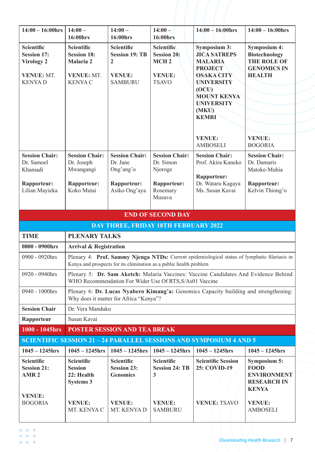| Symposium 3:<br><b>Scientific</b><br><b>Scientific</b><br>Scientific<br><b>Scientific</b><br><b>JICA SATREPS</b><br><b>Session 19: TB</b><br><b>Session 20:</b><br><b>Session 17:</b><br><b>Session 18:</b><br>MCH <sub>2</sub><br><b>Virology 2</b><br>Malaria 2<br><b>MALARIA</b><br>$\overline{2}$<br><b>PROJECT</b><br><b>VENUE: MT.</b><br><b>VENUE: MT.</b><br><b>VENUE:</b><br><b>OSAKA CITY</b><br><b>HEALTH</b><br><b>VENUE:</b><br><b>KENYAC</b><br><b>SAMBURU</b><br><b>TSAVO</b><br><b>UNIVERSITY</b><br><b>KENYAD</b><br>(OCU)<br><b>MOUNT KENYA</b><br><b>UNIVERSITY</b><br>(MKU)<br><b>KEMRI</b><br><b>VENUE:</b><br><b>VENUE:</b><br><b>AMBOSELI</b><br><b>BOGORIA</b><br><b>Session Chair:</b><br><b>Session Chair:</b><br><b>Session Chair:</b><br><b>Session Chair:</b><br><b>Session Chair:</b><br>Dr. Simon<br>Dr. Samoel<br>Dr. Joseph<br>Dr. Jane<br>Prof. Akira Kaneko<br>Dr. Damaris<br>Khamadi<br>Mwangangi<br>Ong'ang'o<br>Njoroge<br>Rapporteur:<br><b>Rapporteur:</b><br>Dr. Wataru Kagaya<br>Rapporteur:<br>Rapporteur:<br>Rapporteur:<br>Rapporteur:<br>Koko Mutai<br>Asiko Ong'aya<br>Ms. Susan Kavai<br>Lilian Mayieka<br>Rosemary<br>Musuva<br><b>END OF SECOND DAY</b><br><b>DAY THREE, FRIDAY 18TH FEBRUARY 2022</b><br><b>PLENARY TALKS</b><br><b>TIME</b><br>0800 - 0900hrs<br><b>Arrival &amp; Registration</b><br>0900 - 0920hrs<br>Kenya and prospects for its elimination as a public health problem<br>$0920 - 0940$ hrs<br>WHO Recommendation For Wider Use Of RTS, S/As01 Vaccine<br>0940 - 1000hrs<br>Why does it matter for Africa "Kenya"?<br><b>Session Chair</b><br>Dr. Vera Manduku<br>Susan Kavai<br>Rapporteur<br>1000 - 1045hrs<br><b>POSTER SESSION AND TEA BREAK</b><br><b>SCIENTIFIC SESSION 21 - 24 PARALLEL SESSIONS AND SYMPOSIUM 4 AND 5</b><br>$1045 - 1245$ hrs<br>$1045 - 1245$ hrs<br>$1045 - 1245$ hrs<br>$1045 - 1245$ hrs<br>$1045 - 1245$ hrs<br><b>Scientific</b><br><b>Scientific</b><br><b>Scientific</b><br><b>Scientific</b><br><b>Scientific Session</b><br><b>Session 23:</b><br>25: COVID-19<br><b>FOOD</b><br><b>Session 21:</b><br><b>Session</b><br><b>Session 24: TB</b><br>22: Health<br><b>Genomics</b><br>AMR <sub>2</sub><br>3<br><b>Systems 3</b><br><b>KENYA</b><br><b>VENUE:</b><br><b>VENUE: TSAVO</b><br><b>BOGORIA</b><br><b>VENUE:</b><br><b>VENUE:</b><br><b>VENUE:</b><br><b>VENUE:</b> | $14:00 - 16:00$ hrs | $14:00-$<br>16:00hrs                                                                          | $14:00 -$<br>16:00hrs | $14:00 -$<br>16:00hrs | $14:00 - 16:00$ hrs | $14:00 - 16:00$ hrs                                                                     |
|---------------------------------------------------------------------------------------------------------------------------------------------------------------------------------------------------------------------------------------------------------------------------------------------------------------------------------------------------------------------------------------------------------------------------------------------------------------------------------------------------------------------------------------------------------------------------------------------------------------------------------------------------------------------------------------------------------------------------------------------------------------------------------------------------------------------------------------------------------------------------------------------------------------------------------------------------------------------------------------------------------------------------------------------------------------------------------------------------------------------------------------------------------------------------------------------------------------------------------------------------------------------------------------------------------------------------------------------------------------------------------------------------------------------------------------------------------------------------------------------------------------------------------------------------------------------------------------------------------------------------------------------------------------------------------------------------------------------------------------------------------------------------------------------------------------------------------------------------------------------------------------------------------------------------------------------------------------------------------------------------------------------------------------------------------------------------------------------------------------------------------------------------------------------------------------------------------------------------------------------------------------------------------------------------------------------------------------------------------------------------------------|---------------------|-----------------------------------------------------------------------------------------------|-----------------------|-----------------------|---------------------|-----------------------------------------------------------------------------------------|
|                                                                                                                                                                                                                                                                                                                                                                                                                                                                                                                                                                                                                                                                                                                                                                                                                                                                                                                                                                                                                                                                                                                                                                                                                                                                                                                                                                                                                                                                                                                                                                                                                                                                                                                                                                                                                                                                                                                                                                                                                                                                                                                                                                                                                                                                                                                                                                                       |                     |                                                                                               |                       |                       |                     | <b>Symposium 4:</b><br><b>Biotechnology</b><br><b>THE ROLE OF</b><br><b>GENOMICS IN</b> |
|                                                                                                                                                                                                                                                                                                                                                                                                                                                                                                                                                                                                                                                                                                                                                                                                                                                                                                                                                                                                                                                                                                                                                                                                                                                                                                                                                                                                                                                                                                                                                                                                                                                                                                                                                                                                                                                                                                                                                                                                                                                                                                                                                                                                                                                                                                                                                                                       |                     |                                                                                               |                       |                       |                     | <b>Session Chair:</b><br>Matoke-Muhia<br>Kelvin Thiong'o                                |
|                                                                                                                                                                                                                                                                                                                                                                                                                                                                                                                                                                                                                                                                                                                                                                                                                                                                                                                                                                                                                                                                                                                                                                                                                                                                                                                                                                                                                                                                                                                                                                                                                                                                                                                                                                                                                                                                                                                                                                                                                                                                                                                                                                                                                                                                                                                                                                                       |                     |                                                                                               |                       |                       |                     |                                                                                         |
|                                                                                                                                                                                                                                                                                                                                                                                                                                                                                                                                                                                                                                                                                                                                                                                                                                                                                                                                                                                                                                                                                                                                                                                                                                                                                                                                                                                                                                                                                                                                                                                                                                                                                                                                                                                                                                                                                                                                                                                                                                                                                                                                                                                                                                                                                                                                                                                       |                     |                                                                                               |                       |                       |                     |                                                                                         |
|                                                                                                                                                                                                                                                                                                                                                                                                                                                                                                                                                                                                                                                                                                                                                                                                                                                                                                                                                                                                                                                                                                                                                                                                                                                                                                                                                                                                                                                                                                                                                                                                                                                                                                                                                                                                                                                                                                                                                                                                                                                                                                                                                                                                                                                                                                                                                                                       |                     |                                                                                               |                       |                       |                     |                                                                                         |
|                                                                                                                                                                                                                                                                                                                                                                                                                                                                                                                                                                                                                                                                                                                                                                                                                                                                                                                                                                                                                                                                                                                                                                                                                                                                                                                                                                                                                                                                                                                                                                                                                                                                                                                                                                                                                                                                                                                                                                                                                                                                                                                                                                                                                                                                                                                                                                                       |                     |                                                                                               |                       |                       |                     |                                                                                         |
|                                                                                                                                                                                                                                                                                                                                                                                                                                                                                                                                                                                                                                                                                                                                                                                                                                                                                                                                                                                                                                                                                                                                                                                                                                                                                                                                                                                                                                                                                                                                                                                                                                                                                                                                                                                                                                                                                                                                                                                                                                                                                                                                                                                                                                                                                                                                                                                       |                     | Plenary 4: Prof. Sammy Njenga NTDs: Current epidemiological status of lymphatic filariasis in |                       |                       |                     |                                                                                         |
|                                                                                                                                                                                                                                                                                                                                                                                                                                                                                                                                                                                                                                                                                                                                                                                                                                                                                                                                                                                                                                                                                                                                                                                                                                                                                                                                                                                                                                                                                                                                                                                                                                                                                                                                                                                                                                                                                                                                                                                                                                                                                                                                                                                                                                                                                                                                                                                       |                     | Plenary 5: Dr. Sam Aketch: Malaria Vaccines: Vaccine Candidates And Evidence Behind           |                       |                       |                     |                                                                                         |
|                                                                                                                                                                                                                                                                                                                                                                                                                                                                                                                                                                                                                                                                                                                                                                                                                                                                                                                                                                                                                                                                                                                                                                                                                                                                                                                                                                                                                                                                                                                                                                                                                                                                                                                                                                                                                                                                                                                                                                                                                                                                                                                                                                                                                                                                                                                                                                                       |                     | Plenary 6: Dr. Lucas Nyabero Kimang'a: Genomics Capacity building and strengthening:          |                       |                       |                     |                                                                                         |
|                                                                                                                                                                                                                                                                                                                                                                                                                                                                                                                                                                                                                                                                                                                                                                                                                                                                                                                                                                                                                                                                                                                                                                                                                                                                                                                                                                                                                                                                                                                                                                                                                                                                                                                                                                                                                                                                                                                                                                                                                                                                                                                                                                                                                                                                                                                                                                                       |                     |                                                                                               |                       |                       |                     |                                                                                         |
|                                                                                                                                                                                                                                                                                                                                                                                                                                                                                                                                                                                                                                                                                                                                                                                                                                                                                                                                                                                                                                                                                                                                                                                                                                                                                                                                                                                                                                                                                                                                                                                                                                                                                                                                                                                                                                                                                                                                                                                                                                                                                                                                                                                                                                                                                                                                                                                       |                     |                                                                                               |                       |                       |                     |                                                                                         |
|                                                                                                                                                                                                                                                                                                                                                                                                                                                                                                                                                                                                                                                                                                                                                                                                                                                                                                                                                                                                                                                                                                                                                                                                                                                                                                                                                                                                                                                                                                                                                                                                                                                                                                                                                                                                                                                                                                                                                                                                                                                                                                                                                                                                                                                                                                                                                                                       |                     |                                                                                               |                       |                       |                     |                                                                                         |
|                                                                                                                                                                                                                                                                                                                                                                                                                                                                                                                                                                                                                                                                                                                                                                                                                                                                                                                                                                                                                                                                                                                                                                                                                                                                                                                                                                                                                                                                                                                                                                                                                                                                                                                                                                                                                                                                                                                                                                                                                                                                                                                                                                                                                                                                                                                                                                                       |                     |                                                                                               |                       |                       |                     |                                                                                         |
|                                                                                                                                                                                                                                                                                                                                                                                                                                                                                                                                                                                                                                                                                                                                                                                                                                                                                                                                                                                                                                                                                                                                                                                                                                                                                                                                                                                                                                                                                                                                                                                                                                                                                                                                                                                                                                                                                                                                                                                                                                                                                                                                                                                                                                                                                                                                                                                       |                     |                                                                                               |                       |                       |                     | $1045 - 1245$ hrs                                                                       |
|                                                                                                                                                                                                                                                                                                                                                                                                                                                                                                                                                                                                                                                                                                                                                                                                                                                                                                                                                                                                                                                                                                                                                                                                                                                                                                                                                                                                                                                                                                                                                                                                                                                                                                                                                                                                                                                                                                                                                                                                                                                                                                                                                                                                                                                                                                                                                                                       |                     |                                                                                               |                       |                       |                     | <b>Symposium 5:</b><br><b>ENVIRONMENT</b><br><b>RESEARCH IN</b>                         |
| MT. KENYA C<br>MT. KENYA D<br><b>SAMBURU</b><br><b>AMBOSELI</b>                                                                                                                                                                                                                                                                                                                                                                                                                                                                                                                                                                                                                                                                                                                                                                                                                                                                                                                                                                                                                                                                                                                                                                                                                                                                                                                                                                                                                                                                                                                                                                                                                                                                                                                                                                                                                                                                                                                                                                                                                                                                                                                                                                                                                                                                                                                       |                     |                                                                                               |                       |                       |                     |                                                                                         |